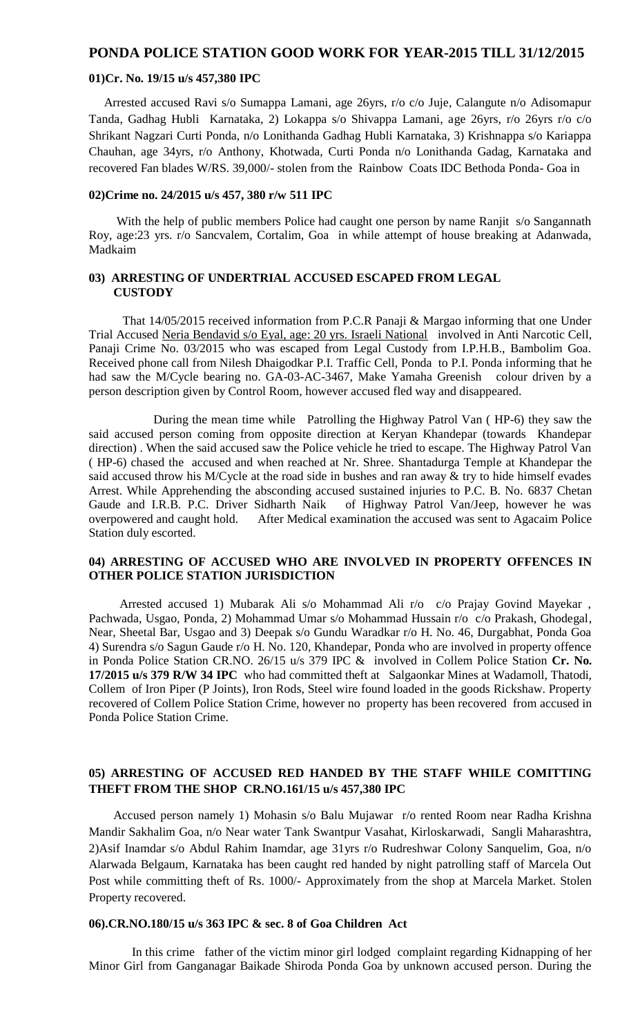# **PONDA POLICE STATION GOOD WORK FOR YEAR-2015 TILL 31/12/2015**

#### **01)Cr. No. 19/15 u/s 457,380 IPC**

Arrested accused Ravi s/o Sumappa Lamani, age 26yrs, r/o c/o Juje, Calangute n/o Adisomapur Tanda, Gadhag Hubli Karnataka, 2) Lokappa s/o Shivappa Lamani, age 26yrs, r/o 26yrs r/o c/o Shrikant Nagzari Curti Ponda, n/o Lonithanda Gadhag Hubli Karnataka, 3) Krishnappa s/o Kariappa Chauhan, age 34yrs, r/o Anthony, Khotwada, Curti Ponda n/o Lonithanda Gadag, Karnataka and recovered Fan blades W/RS. 39,000/- stolen from the Rainbow Coats IDC Bethoda Ponda- Goa in

#### **02)Crime no. 24/2015 u/s 457, 380 r/w 511 IPC**

With the help of public members Police had caught one person by name Ranjit s/o Sangannath Roy, age:23 yrs. r/o Sancvalem, Cortalim, Goa in while attempt of house breaking at Adanwada, Madkaim

### **03) ARRESTING OF UNDERTRIAL ACCUSED ESCAPED FROM LEGAL CUSTODY**

 That 14/05/2015 received information from P.C.R Panaji & Margao informing that one Under Trial Accused Neria Bendavid s/o Eyal, age: 20 yrs. Israeli National involved in Anti Narcotic Cell, Panaji Crime No. 03/2015 who was escaped from Legal Custody from I.P.H.B., Bambolim Goa. Received phone call from Nilesh Dhaigodkar P.I. Traffic Cell, Ponda to P.I. Ponda informing that he had saw the M/Cycle bearing no. GA-03-AC-3467, Make Yamaha Greenish colour driven by a person description given by Control Room, however accused fled way and disappeared.

 During the mean time while Patrolling the Highway Patrol Van ( HP-6) they saw the said accused person coming from opposite direction at Keryan Khandepar (towards Khandepar direction) . When the said accused saw the Police vehicle he tried to escape. The Highway Patrol Van ( HP-6) chased the accused and when reached at Nr. Shree. Shantadurga Temple at Khandepar the said accused throw his M/Cycle at the road side in bushes and ran away  $\&$  try to hide himself evades Arrest. While Apprehending the absconding accused sustained injuries to P.C. B. No. 6837 Chetan Gaude and I.R.B. P.C. Driver Sidharth Naik of Highway Patrol Van/Jeep, however he was overpowered and caught hold. After Medical examination the accused was sent to Agacaim Police Station duly escorted.

### **04) ARRESTING OF ACCUSED WHO ARE INVOLVED IN PROPERTY OFFENCES IN OTHER POLICE STATION JURISDICTION**

 Arrested accused 1) Mubarak Ali s/o Mohammad Ali r/o c/o Prajay Govind Mayekar , Pachwada, Usgao, Ponda, 2) Mohammad Umar s/o Mohammad Hussain r/o c/o Prakash, Ghodegal, Near, Sheetal Bar, Usgao and 3) Deepak s/o Gundu Waradkar r/o H. No. 46, Durgabhat, Ponda Goa 4) Surendra s/o Sagun Gaude r/o H. No. 120, Khandepar, Ponda who are involved in property offence in Ponda Police Station CR.NO. 26/15 u/s 379 IPC & involved in Collem Police Station **Cr. No. 17/2015 u/s 379 R/W 34 IPC** who had committed theft at Salgaonkar Mines at Wadamoll, Thatodi, Collem of Iron Piper (P Joints), Iron Rods, Steel wire found loaded in the goods Rickshaw. Property recovered of Collem Police Station Crime, however no property has been recovered from accused in Ponda Police Station Crime.

## **05) ARRESTING OF ACCUSED RED HANDED BY THE STAFF WHILE COMITTING THEFT FROM THE SHOP CR.NO.161/15 u/s 457,380 IPC**

 Accused person namely 1) Mohasin s/o Balu Mujawar r/o rented Room near Radha Krishna Mandir Sakhalim Goa, n/o Near water Tank Swantpur Vasahat, Kirloskarwadi, Sangli Maharashtra, 2)Asif Inamdar s/o Abdul Rahim Inamdar, age 31yrs r/o Rudreshwar Colony Sanquelim, Goa, n/o Alarwada Belgaum, Karnataka has been caught red handed by night patrolling staff of Marcela Out Post while committing theft of Rs. 1000/- Approximately from the shop at Marcela Market. Stolen Property recovered.

### **06).CR.NO.180/15 u/s 363 IPC & sec. 8 of Goa Children Act**

 In this crime father of the victim minor girl lodged complaint regarding Kidnapping of her Minor Girl from Ganganagar Baikade Shiroda Ponda Goa by unknown accused person. During the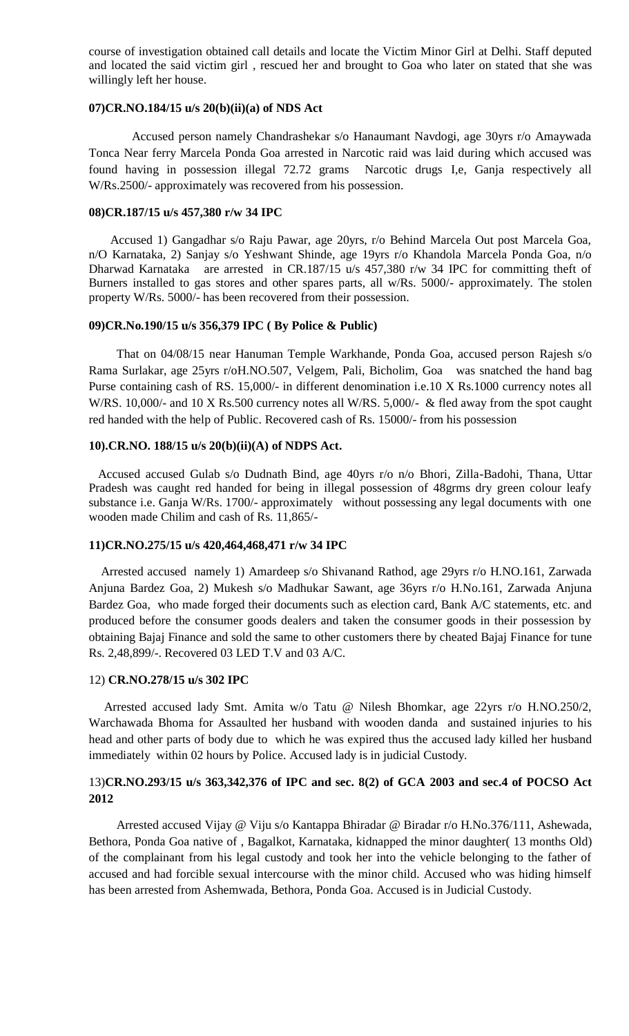course of investigation obtained call details and locate the Victim Minor Girl at Delhi. Staff deputed and located the said victim girl , rescued her and brought to Goa who later on stated that she was willingly left her house.

#### **07)CR.NO.184/15 u/s 20(b)(ii)(a) of NDS Act**

 Accused person namely Chandrashekar s/o Hanaumant Navdogi, age 30yrs r/o Amaywada Tonca Near ferry Marcela Ponda Goa arrested in Narcotic raid was laid during which accused was found having in possession illegal 72.72 grams Narcotic drugs I,e, Ganja respectively all W/Rs.2500/- approximately was recovered from his possession.

#### **08)CR.187/15 u/s 457,380 r/w 34 IPC**

 Accused 1) Gangadhar s/o Raju Pawar, age 20yrs, r/o Behind Marcela Out post Marcela Goa, n/O Karnataka, 2) Sanjay s/o Yeshwant Shinde, age 19yrs r/o Khandola Marcela Ponda Goa, n/o Dharwad Karnataka are arrested in CR.187/15 u/s 457,380 r/w 34 IPC for committing theft of Burners installed to gas stores and other spares parts, all w/Rs. 5000/- approximately. The stolen property W/Rs. 5000/- has been recovered from their possession.

#### **09)CR.No.190/15 u/s 356,379 IPC ( By Police & Public)**

 That on 04/08/15 near Hanuman Temple Warkhande, Ponda Goa, accused person Rajesh s/o Rama Surlakar, age 25yrs r/oH.NO.507, Velgem, Pali, Bicholim, Goa was snatched the hand bag Purse containing cash of RS. 15,000/- in different denomination i.e.10 X Rs.1000 currency notes all W/RS. 10,000/- and 10 X Rs.500 currency notes all W/RS. 5,000/- & fled away from the spot caught red handed with the help of Public. Recovered cash of Rs. 15000/- from his possession

#### **10).CR.NO. 188/15 u/s 20(b)(ii)(A) of NDPS Act.**

 Accused accused Gulab s/o Dudnath Bind, age 40yrs r/o n/o Bhori, Zilla-Badohi, Thana, Uttar Pradesh was caught red handed for being in illegal possession of 48grms dry green colour leafy substance i.e. Ganja W/Rs. 1700/- approximately without possessing any legal documents with one wooden made Chilim and cash of Rs. 11,865/-

#### **11)CR.NO.275/15 u/s 420,464,468,471 r/w 34 IPC**

 Arrested accused namely 1) Amardeep s/o Shivanand Rathod, age 29yrs r/o H.NO.161, Zarwada Anjuna Bardez Goa, 2) Mukesh s/o Madhukar Sawant, age 36yrs r/o H.No.161, Zarwada Anjuna Bardez Goa, who made forged their documents such as election card, Bank A/C statements, etc. and produced before the consumer goods dealers and taken the consumer goods in their possession by obtaining Bajaj Finance and sold the same to other customers there by cheated Bajaj Finance for tune Rs. 2,48,899/-. Recovered 03 LED T.V and 03 A/C.

#### 12) **CR.NO.278/15 u/s 302 IPC**

 Arrested accused lady Smt. Amita w/o Tatu @ Nilesh Bhomkar, age 22yrs r/o H.NO.250/2, Warchawada Bhoma for Assaulted her husband with wooden danda and sustained injuries to his head and other parts of body due to which he was expired thus the accused lady killed her husband immediately within 02 hours by Police. Accused lady is in judicial Custody.

## 13)**CR.NO.293/15 u/s 363,342,376 of IPC and sec. 8(2) of GCA 2003 and sec.4 of POCSO Act 2012**

 Arrested accused Vijay @ Viju s/o Kantappa Bhiradar @ Biradar r/o H.No.376/111, Ashewada, Bethora, Ponda Goa native of , Bagalkot, Karnataka, kidnapped the minor daughter( 13 months Old) of the complainant from his legal custody and took her into the vehicle belonging to the father of accused and had forcible sexual intercourse with the minor child. Accused who was hiding himself has been arrested from Ashemwada, Bethora, Ponda Goa. Accused is in Judicial Custody.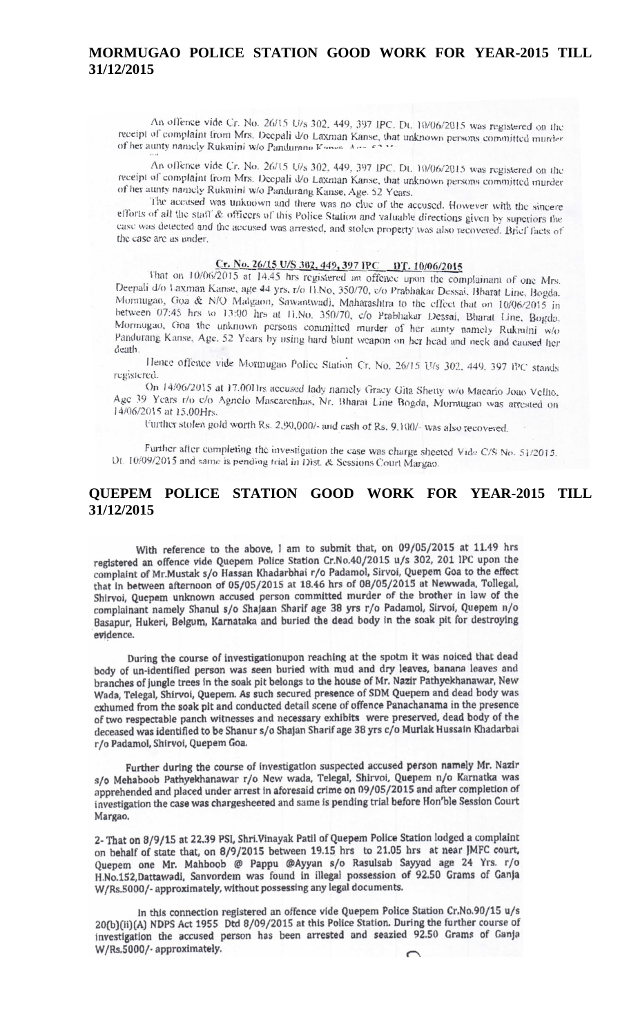## MORMUGAO POLICE STATION GOOD WORK FOR YEAR-2015 TILL 31/12/2015

An offence vide Cr. No. 26/15 U/s 302, 449, 397 IPC. Dt. 10/06/2015 was registered on the receipt of complaint from Mrs. Deepali d/o Laxman Kanse, that unknown persons committed murder of her aunty namely Rukmini w/o Pandurano Kanea A

An offence vide Cr. No. 26/15 U/s 302, 449, 397 IPC. Dt. 10/06/2015 was registered on the receipt of complaint from Mrs. Deepali d/o Laxman Kanse, that unknown persons committed murder of her aunty namely Rukmini w/o Pandurang Kanse, Age. 52 Years.

The accused was unknown and there was no clue of the accused. However with the sincere efforts of all the staff & officers of this Police Station and valuable directions given by superiors the case was detected and the accused was arrested, and stolen property was also recovered. Brief facts of the case are as under.

## Cr. No. 26/15 U/S 302, 449, 397 IPC DT. 10/06/2015

That on 10/06/2015 at 14.45 hrs registered an offence upon the complainant of one Mrs. Deepali d/o Laxman Kanse, age 44 yrs, r/o H.No, 350/70, c/o Prabhakar Dessai, Bharat Line, Bogda. Mormugao, Goa & N/O Malgaon, Sawantwadi, Maharashtra to the effect that on 10/06/2015 in between 07:45 hrs to 13:00 hrs at H.No. 350/70, c/o Prabhakar Dessai, Bharat Line, Bogda, Mormugao, Goa the unknown persons committed murder of her aunty namely Rukmini w/o Pandurang Kanse, Age. 52 Years by using hard blunt weapon on her head and neck and caused her death

Hence offence vide Mormugao Police Station Cr. No. 26/15 U/s 302, 449, 397 IPC stands registered.

On 14/06/2015 at 17.00Hrs accused lady namely Gracy Gita Shetty w/o Macario Joao Velho, Age 39 Years r/o c/o Agnelo Mascarenhas, Nr. Bharat Line Bogda, Mormugao was arrested on 14/06/2015 at 15.00 Hrs.

Further stolen gold worth Rs. 2.90,000/- and cash of Rs. 9,100/- was also recovered.

Further after completing the investigation the case was charge sheeted Vide C/S No. 51/2015. Dt. 10/09/2015 and same is pending trial in Dist. & Sessions Court Margao.

# QUEPEM POLICE STATION GOOD WORK FOR YEAR-2015 TILL 31/12/2015

With reference to the above, I am to submit that, on 09/05/2015 at 11.49 hrs registered an offence vide Quepem Police Station Cr.No.40/2015 u/s 302, 201 IPC upon the complaint of Mr.Mustak s/o Hassan Khadarbhai r/o Padamol, Sirvoi, Quepem Goa to the effect that in between afternoon of 05/05/2015 at 18.46 hrs of 08/05/2015 at Newwada, Tollegal, Shirvoi, Quepem unknown accused person committed murder of the brother in law of the complainant namely Shanul s/o Shajaan Sharif age 38 yrs r/o Padamol, Sirvoi, Quepem n/o Basapur, Hukeri, Belgum, Karnataka and buried the dead body in the soak pit for destroying evidence.

During the course of investigationupon reaching at the spotm it was noiced that dead body of un-identified person was seen buried with mud and dry leaves, banana leaves and branches of jungle trees in the soak pit belongs to the house of Mr. Nazir Pathyekhanawar, New Wada, Telegal, Shirvoi, Quepem. As such secured presence of SDM Quepem and dead body was exhumed from the soak pit and conducted detail scene of offence Panachanama in the presence of two respectable panch witnesses and necessary exhibits were preserved, dead body of the deceased was identified to be Shanur s/o Shajan Sharif age 38 yrs c/o Murlak Hussain Khadarbai r/o Padamol, Shirvoi, Quepem Goa.

Further during the course of investigation suspected accused person namely Mr. Nazir s/o Mehaboob Pathyekhanawar r/o New wada, Telegal, Shirvoi, Quepem n/o Karnatka was apprehended and placed under arrest in aforesaid crime on 09/05/2015 and after completion of investigation the case was chargesheeted and same is pending trial before Hon'ble Session Court Margao.

2- That on 8/9/15 at 22.39 PSI, Shri.Vinayak Patil of Quepem Police Station lodged a complaint on behalf of state that, on 8/9/2015 between 19.15 hrs to 21.05 hrs at near JMFC court, Quepem one Mr. Mahboob @ Pappu @Ayyan s/o Rasulsab Sayyad age 24 Yrs. r/o H.No.152,Dattawadi, Sanvordem was found in illegal possession of 92.50 Grams of Ganja W/Rs.5000/- approximately, without possessing any legal documents.

In this connection registered an offence vide Quepem Police Station Cr.No.90/15 u/s 20(b)(ii)(A) NDPS Act 1955 Dtd 8/09/2015 at this Police Station. During the further course of investigation the accused person has been arrested and seazied 92.50 Grams of Ganja W/Rs.5000/- approximately. C